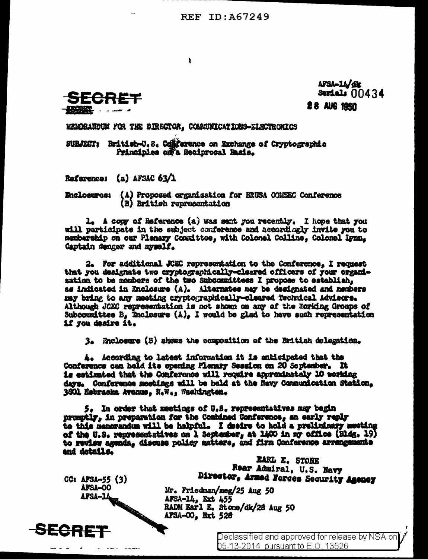**REF ID: A67249** 



AFSA-LL/dr Serials  $00434$ **28 AUG 1950** 

MEMORANDUM FOR THE DIRECTOR, COMMUNICATIONS-SLECTROSICS

 $\mathbf{I}$ 

SURJECT: Rritish-U.S. Comprence on Exchange of Cryptographic Principles off's Reciprocal Basis.

Reference: (a) AFSAC 63/1

Enclosures: (A) Proposed organization for BRUSA COMBEC Conference (B) British representation

1. A copy of Reference (a) was sent you recently. I hope that you will participate in the subject conference and accordingly invite you to membership on our Plenary Committee, with Colonel Collins, Colonel Lynn. Captain Senger and myself.

2. For additional JCSC representation to the Conference, I request that you designate two cryptographically-cleared officers of your organimation to be members of the two Subcommittees I propose to establish, as indicated in Enclosure (A). Alternates may be designated and members may bring to any meeting cryptographically-cleared Technical Advisors. Although JCEC representation is not shown on any of the Working Groups of Subcommittee B, Enclosure  $(\lambda)_s$  I would be glad to have such representation if you desire it.

3. Pholosure (B) shows the composition of the British delegation.

A. According to latest information it is anticipated that the Conference can hold its opening Plerary Session on 20 September. It is estimated that the Conference will require approximately 10 working days. Conference meetings will be held at the Navy Communication Station. 3801 Eebraska Avenus, H.W., Washington.

5. In order that meetings of U.S. representatives may begin promotly, in preparation for the Combined Conference, an early reply to this memorandum will be halpful. I desire to hold a preliminary meeting of the U.S. representatives on 1 September, at 1400 in my office (Bldg. 19) to review agenda, discuss policy matters, and firm Conference arrangements and details.

AFSA-00, Ext 528

 $CC: AFSA-55 (3)$ Aron Jeremia Aron Aron AFSA-OO

**SECRET** 

Director, Armed Forces Security Agency Mr. Friedman/meg/25 Aug 50 AFSA-14, Ext 455<br>RADM Earl E. Stone/dk/28 Aug 50

> Declassified and approved for release by NSA on D5-13-2014 pursuant to E.O. 13526

**EARL E. STONE** Rear Admiral, U.S. Navy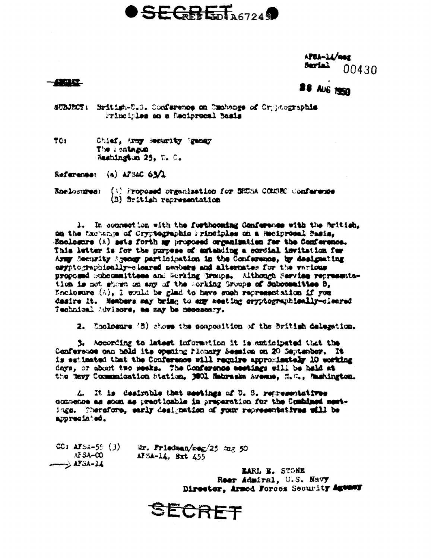# **SEGRET**<sub>A6724</sub>

APBA-14/meg Serial -00430

## **TERRIT**

# **88 AUG 1950**

SUBJECT: British-U.S. Conference on Emchange of Cryptographie Principles on a Reciprocal Basis

TO: Chief, Army Security (geney The lontagen Mashington 25, D. C.

Reference: (a) APSAC 63/2

Enelosures: (8) Proposed organization for BEUSA CONSEC Conference (B) fritish representation

1. In commection with the forthcoming Conference with the Aritish, am the Muchange of Cryptegraphic Principles on a Reciprocal Basis. Enclosure  $\langle \Lambda \rangle$  sets forth my proposed organization for the Conference. This letter is for the purpose of extending a cordial invitation for Army Security Agency participation in the Conference, by designating aryptographically-cleared nesbers and alternates for the various proposed Subcommittees and Working Groups. Although Service representation is not shown on any of the Sorking Groups of Subposaities B. Enclosure (A), I would be glad to have such representation if you desire it. Members may bring to any meeting eryptographically-cleared Technical Advisors, as may be necessary.

2. Enclosure (B) shows the composition of the British delegation.

3. According to latest information it is anticipated that the Conference can bold its opening Flonary Session on 20 September. It is estimated that the Conference will require approximately 10 working days, or about two weeks. The Conference seetings will be held at the Mayy Commanication Station, 3001 Nabraska Avenue, N.Y., Mashington.

4. It is desirable that meetings of U.S. representatives commence as soon as practicable in preparation for the Combined mestings. Therefore, early designation of your representatives will be appreciated.

CC: AFSA-55  $(3)$ Mr. Friedman/meg/25 mg 50 AFSA-CO AFSA-14, Bxt 455  $\rightarrow$  AFSA-14

> LARL E. STONE Reer Admiral, U.S. Navy Director, Armed Forces Security Agency

SECRET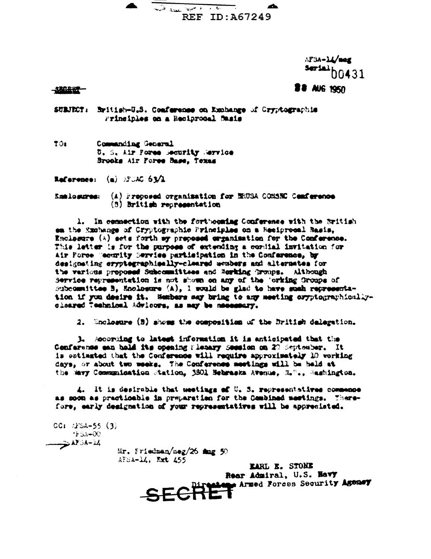The document of the four ab. REF ID: A67249

> AFSA-14/mag **Serial** b0431

**BB AUG 1950** 

#### 一起記念記一

SUBJECT: British-U.S. Comference on Exchange of Cryptographis Frinciples on a Resiprocal Sasis

 $701$ Commanding General U. S. Air Fores Becurity Mervice Brooks Air Fores Base, Texas

Reference:  $(a)$   $\mathbb{R}^n \times \mathbb{R}^n$   $\mathbb{S}^n \times \mathbb{R}$ 

(A) Proposed organization for NHOSA COMSNC Cenference Kaslosures: (3) British representation

1. In connection with the forthoughing Conference with the British en the Exchange of Cryptographic Principles on a Resiprocal Basis, Enclosure (A) sets forth my prepeased empanimation for the Conference. This letter is for the purpose of extending a condial invitation for Air Porce (sourity Service participation in the Conference, by designating cryptegraphisally-cleared weakers and alternates for the various proposed Subcommittees and Rowking Groups. Although Service representation is not shown on any of the 'orking Groups of Subcommittee B. Mooloeure (A). I would be glad to have such representation if you desire it. Sembers say bring to any meeting oryptographicallycleared Technical Advisors, as may be necessary.

2. Enclosure (B) shows the composition of the British delegation.

3. According to latest information it is anticipated that the Conference can hald its opening Pleasry Secsion on 20 September. It is setimated that the Conference will require approximately 10 vorking days, or about two weeks. The Conference meetings will be held at the Mavy Communication Station, 3801 Hebraska Avenue, H."., Rashington.

4. It is desirable that weetings of U. S. representatives commence as soon as practicable in preparation for the Combined meetings. Therefore, early designation of your representatives will be appreciated.

 $CC1$   $/15A-55$   $(3)$  $+5A-00$ 4.4758 توب

Mr. Friedman/meg/26 mmg 50  $AFSA-14$ , Ext  $455$ 

**EARL E. STONE** SECRET Armed Forces Security Agency